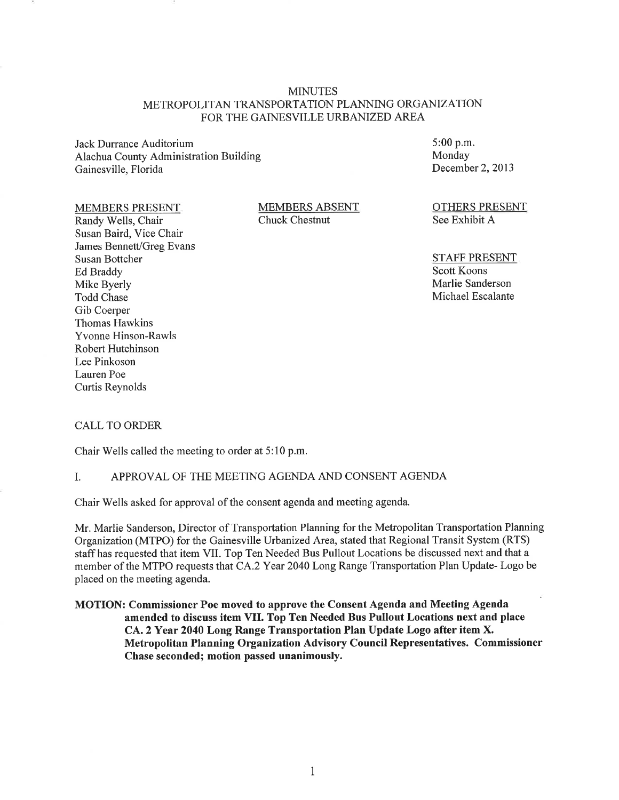# **MINUTES** METROPOLITAN TRANSPORTATION PLANNING ORGANIZATION FOR THE GAINESVILLE URBANIZED AREA

Jack Durrance Auditorium Alachua County Administration Building Gainesville, Florida

### **MEMBERS PRESENT**

Randy Wells, Chair Susan Baird, Vice Chair James Bennett/Greg Evans **Susan Bottcher Ed Braddy** Mike Byerly Todd Chase Gib Coerper **Thomas Hawkins Yvonne Hinson-Rawls** Robert Hutchinson Lee Pinkoson Lauren Poe **Curtis Reynolds** 

**MEMBERS ABSENT** Chuck Chestnut

 $5:00$  p.m. Monday December 2, 2013

**OTHERS PRESENT** See Exhibit A

**STAFF PRESENT Scott Koons** Marlie Sanderson Michael Escalante

### **CALL TO ORDER**

Chair Wells called the meeting to order at 5:10 p.m.

#### APPROVAL OF THE MEETING AGENDA AND CONSENT AGENDA I.

Chair Wells asked for approval of the consent agenda and meeting agenda.

Mr. Marlie Sanderson, Director of Transportation Planning for the Metropolitan Transportation Planning Organization (MTPO) for the Gainesville Urbanized Area, stated that Regional Transit System (RTS) staff has requested that item VII. Top Ten Needed Bus Pullout Locations be discussed next and that a member of the MTPO requests that CA.2 Year 2040 Long Range Transportation Plan Update-Logo be placed on the meeting agenda.

MOTION: Commissioner Poe moved to approve the Consent Agenda and Meeting Agenda amended to discuss item VII. Top Ten Needed Bus Pullout Locations next and place CA. 2 Year 2040 Long Range Transportation Plan Update Logo after item X. Metropolitan Planning Organization Advisory Council Representatives. Commissioner Chase seconded; motion passed unanimously.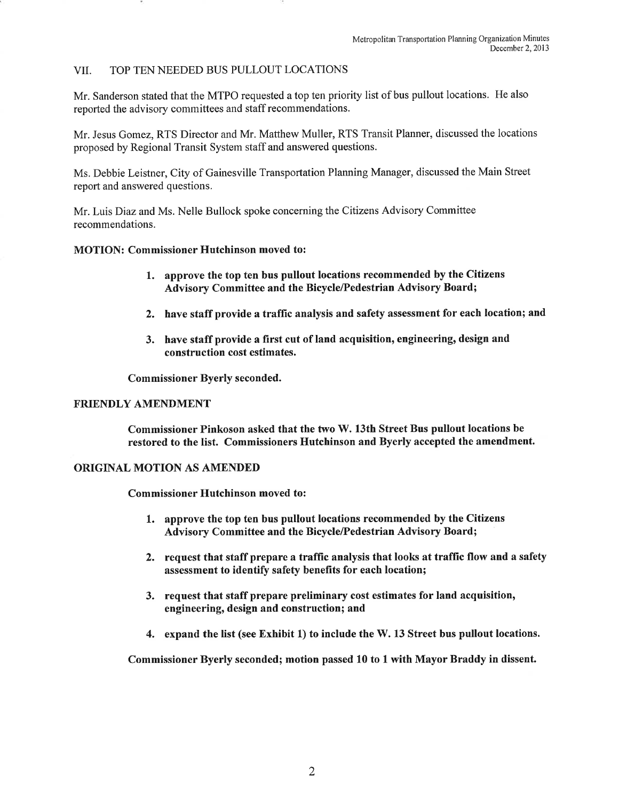#### TOP TEN NEEDED BUS PULLOUT LOCATIONS **VII**

Mr. Sanderson stated that the MTPO requested a top ten priority list of bus pullout locations. He also reported the advisory committees and staff recommendations.

Mr. Jesus Gomez, RTS Director and Mr. Matthew Muller, RTS Transit Planner, discussed the locations proposed by Regional Transit System staff and answered questions.

Ms. Debbie Leistner, City of Gainesville Transportation Planning Manager, discussed the Main Street report and answered questions.

Mr. Luis Diaz and Ms. Nelle Bullock spoke concerning the Citizens Advisory Committee recommendations.

### **MOTION: Commissioner Hutchinson moved to:**

- 1. approve the top ten bus pullout locations recommended by the Citizens Advisory Committee and the Bicycle/Pedestrian Advisory Board;
- 2. have staff provide a traffic analysis and safety assessment for each location; and
- 3. have staff provide a first cut of land acquisition, engineering, design and construction cost estimates.

**Commissioner Byerly seconded.** 

### **FRIENDLY AMENDMENT**

Commissioner Pinkoson asked that the two W. 13th Street Bus pullout locations be restored to the list. Commissioners Hutchinson and Byerly accepted the amendment.

### **ORIGINAL MOTION AS AMENDED**

**Commissioner Hutchinson moved to:** 

- 1. approve the top ten bus pullout locations recommended by the Citizens Advisory Committee and the Bicycle/Pedestrian Advisory Board;
- 2. request that staff prepare a traffic analysis that looks at traffic flow and a safety assessment to identify safety benefits for each location;
- 3. request that staff prepare preliminary cost estimates for land acquisition, engineering, design and construction; and
- 4. expand the list (see Exhibit 1) to include the W. 13 Street bus pullout locations.

Commissioner Byerly seconded; motion passed 10 to 1 with Mayor Braddy in dissent.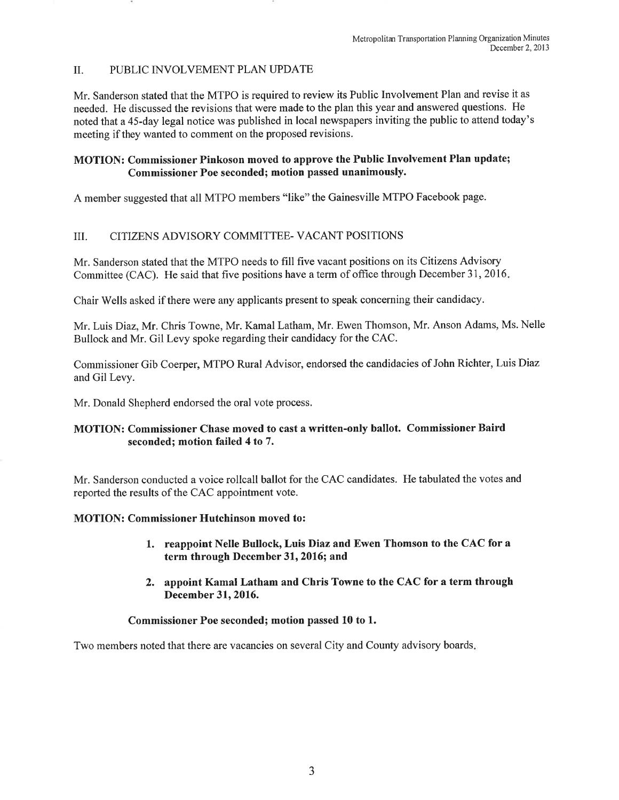#### $\Pi$ . PUBLIC INVOLVEMENT PLAN UPDATE

Mr. Sanderson stated that the MTPO is required to review its Public Involvement Plan and revise it as needed. He discussed the revisions that were made to the plan this year and answered questions. He noted that a 45-day legal notice was published in local newspapers inviting the public to attend today's meeting if they wanted to comment on the proposed revisions.

# **MOTION: Commissioner Pinkoson moved to approve the Public Involvement Plan update;** Commissioner Poe seconded; motion passed unanimously.

A member suggested that all MTPO members "like" the Gainesville MTPO Facebook page.

#### CITIZENS ADVISORY COMMITTEE- VACANT POSITIONS III.

Mr. Sanderson stated that the MTPO needs to fill five vacant positions on its Citizens Advisory Committee (CAC). He said that five positions have a term of office through December 31, 2016.

Chair Wells asked if there were any applicants present to speak concerning their candidacy.

Mr. Luis Diaz, Mr. Chris Towne, Mr. Kamal Latham, Mr. Ewen Thomson, Mr. Anson Adams, Ms. Nelle Bullock and Mr. Gil Levy spoke regarding their candidacy for the CAC.

Commissioner Gib Coerper, MTPO Rural Advisor, endorsed the candidacies of John Richter, Luis Diaz and Gil Levy.

Mr. Donald Shepherd endorsed the oral vote process.

# MOTION: Commissioner Chase moved to cast a written-only ballot. Commissioner Baird seconded; motion failed 4 to 7.

Mr. Sanderson conducted a voice rollcall ballot for the CAC candidates. He tabulated the votes and reported the results of the CAC appointment vote.

# **MOTION: Commissioner Hutchinson moved to:**

- 1. reappoint Nelle Bullock, Luis Diaz and Ewen Thomson to the CAC for a term through December 31, 2016; and
- 2. appoint Kamal Latham and Chris Towne to the CAC for a term through December 31, 2016.

# Commissioner Poe seconded; motion passed 10 to 1.

Two members noted that there are vacancies on several City and County advisory boards.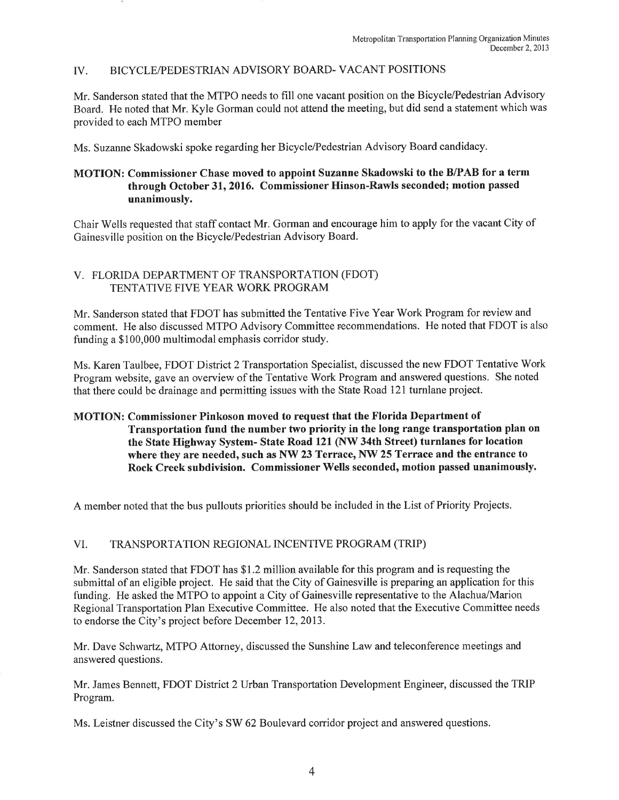#### BICYCLE/PEDESTRIAN ADVISORY BOARD-VACANT POSITIONS  $IV_{-}$

Mr. Sanderson stated that the MTPO needs to fill one vacant position on the Bicycle/Pedestrian Advisory Board. He noted that Mr. Kyle Gorman could not attend the meeting, but did send a statement which was provided to each MTPO member

Ms. Suzanne Skadowski spoke regarding her Bicycle/Pedestrian Advisory Board candidacy.

# MOTION: Commissioner Chase moved to appoint Suzanne Skadowski to the B/PAB for a term through October 31, 2016. Commissioner Hinson-Rawls seconded; motion passed unanimously.

Chair Wells requested that staff contact Mr. Gorman and encourage him to apply for the vacant City of Gainesville position on the Bicycle/Pedestrian Advisory Board.

# V. FLORIDA DEPARTMENT OF TRANSPORTATION (FDOT) TENTATIVE FIVE YEAR WORK PROGRAM

Mr. Sanderson stated that FDOT has submitted the Tentative Five Year Work Program for review and comment. He also discussed MTPO Advisory Committee recommendations. He noted that FDOT is also funding a \$100,000 multimodal emphasis corridor study.

Ms. Karen Taulbee, FDOT District 2 Transportation Specialist, discussed the new FDOT Tentative Work Program website, gave an overview of the Tentative Work Program and answered questions. She noted that there could be drainage and permitting issues with the State Road 121 turnlane project.

# MOTION: Commissioner Pinkoson moved to request that the Florida Department of Transportation fund the number two priority in the long range transportation plan on the State Highway System- State Road 121 (NW 34th Street) turnlanes for location where they are needed, such as NW 23 Terrace, NW 25 Terrace and the entrance to Rock Creek subdivision. Commissioner Wells seconded, motion passed unanimously.

A member noted that the bus pullouts priorities should be included in the List of Priority Projects.

#### VI. TRANSPORTATION REGIONAL INCENTIVE PROGRAM (TRIP)

Mr. Sanderson stated that FDOT has \$1.2 million available for this program and is requesting the submittal of an eligible project. He said that the City of Gainesville is preparing an application for this funding. He asked the MTPO to appoint a City of Gainesville representative to the Alachua/Marion Regional Transportation Plan Executive Committee. He also noted that the Executive Committee needs to endorse the City's project before December 12, 2013.

Mr. Dave Schwartz, MTPO Attorney, discussed the Sunshine Law and teleconference meetings and answered questions.

Mr. James Bennett, FDOT District 2 Urban Transportation Development Engineer, discussed the TRIP Program.

Ms. Leistner discussed the City's SW 62 Boulevard corridor project and answered questions.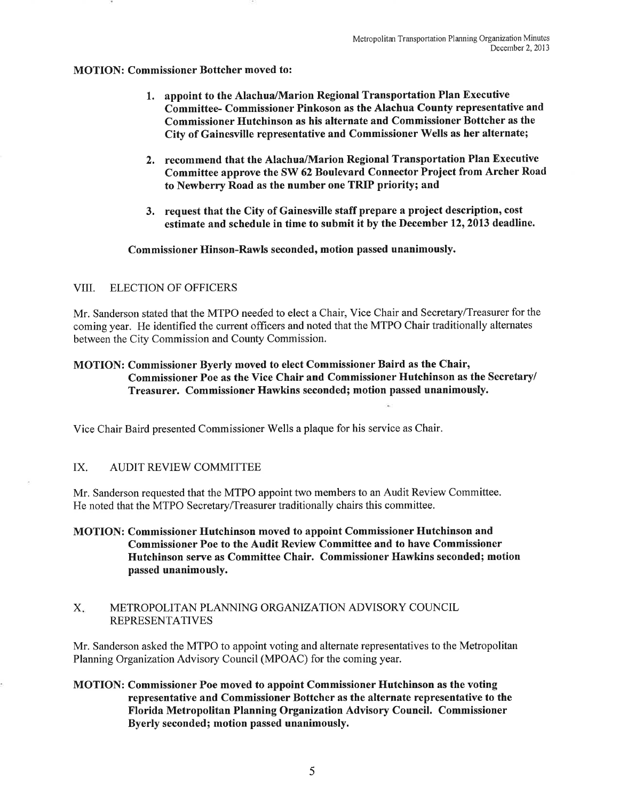### **MOTION: Commissioner Bottcher moved to:**

- 1. appoint to the Alachua/Marion Regional Transportation Plan Executive Committee- Commissioner Pinkoson as the Alachua County representative and Commissioner Hutchinson as his alternate and Commissioner Bottcher as the City of Gainesville representative and Commissioner Wells as her alternate;
- 2. recommend that the Alachua/Marion Regional Transportation Plan Executive Committee approve the SW 62 Boulevard Connector Project from Archer Road to Newberry Road as the number one TRIP priority; and
- 3. request that the City of Gainesville staff prepare a project description, cost estimate and schedule in time to submit it by the December 12, 2013 deadline.

### Commissioner Hinson-Rawls seconded, motion passed unanimously.

#### VIII. **ELECTION OF OFFICERS**

Mr. Sanderson stated that the MTPO needed to elect a Chair, Vice Chair and Secretary/Treasurer for the coming year. He identified the current officers and noted that the MTPO Chair traditionally alternates between the City Commission and County Commission.

# MOTION: Commissioner Byerly moved to elect Commissioner Baird as the Chair, Commissioner Poe as the Vice Chair and Commissioner Hutchinson as the Secretary/ Treasurer. Commissioner Hawkins seconded; motion passed unanimously.

Vice Chair Baird presented Commissioner Wells a plaque for his service as Chair.

#### IX. **AUDIT REVIEW COMMITTEE**

Mr. Sanderson requested that the MTPO appoint two members to an Audit Review Committee. He noted that the MTPO Secretary/Treasurer traditionally chairs this committee.

- **MOTION: Commissioner Hutchinson moved to appoint Commissioner Hutchinson and Commissioner Poe to the Audit Review Committee and to have Commissioner** Hutchinson serve as Committee Chair. Commissioner Hawkins seconded; motion passed unanimously.
- $X_{-}$ METROPOLITAN PLANNING ORGANIZATION ADVISORY COUNCIL **REPRESENTATIVES**

Mr. Sanderson asked the MTPO to appoint voting and alternate representatives to the Metropolitan Planning Organization Advisory Council (MPOAC) for the coming year.

MOTION: Commissioner Poe moved to appoint Commissioner Hutchinson as the voting representative and Commissioner Bottcher as the alternate representative to the Florida Metropolitan Planning Organization Advisory Council. Commissioner Byerly seconded; motion passed unanimously.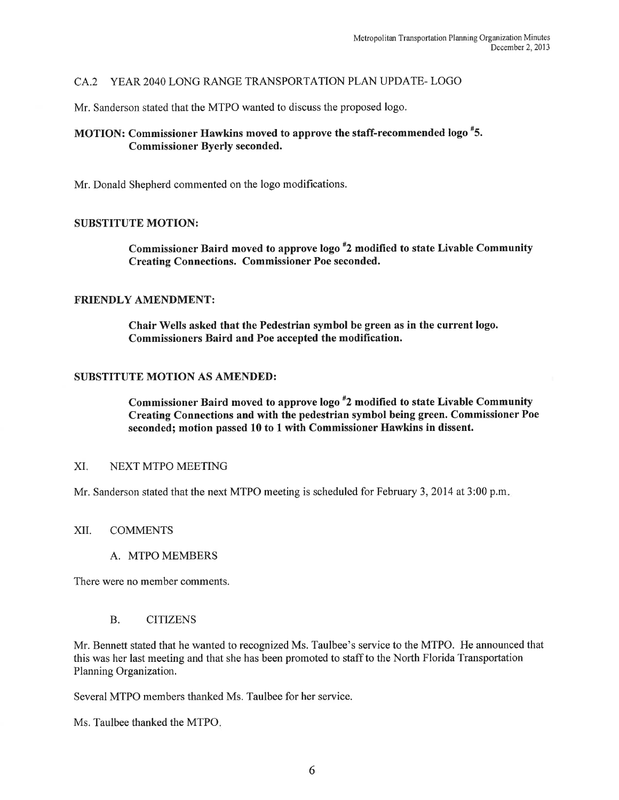# CA.2 YEAR 2040 LONG RANGE TRANSPORTATION PLAN UPDATE-LOGO

Mr. Sanderson stated that the MTPO wanted to discuss the proposed logo.

# MOTION: Commissioner Hawkins moved to approve the staff-recommended logo #5. **Commissioner Byerly seconded.**

Mr. Donald Shepherd commented on the logo modifications.

### **SUBSTITUTE MOTION:**

Commissioner Baird moved to approve logo #2 modified to state Livable Community **Creating Connections. Commissioner Poe seconded.** 

# **FRIENDLY AMENDMENT:**

Chair Wells asked that the Pedestrian symbol be green as in the current logo. Commissioners Baird and Poe accepted the modification.

### **SUBSTITUTE MOTION AS AMENDED:**

Commissioner Baird moved to approve logo #2 modified to state Livable Community Creating Connections and with the pedestrian symbol being green. Commissioner Poe seconded; motion passed 10 to 1 with Commissioner Hawkins in dissent.

#### XI. NEXT MTPO MEETING

Mr. Sanderson stated that the next MTPO meeting is scheduled for February 3, 2014 at 3:00 p.m.

#### XII. **COMMENTS**

# A. MTPO MEMBERS

There were no member comments.

#### $B<sub>r</sub>$ **CITIZENS**

Mr. Bennett stated that he wanted to recognized Ms. Taulbee's service to the MTPO. He announced that this was her last meeting and that she has been promoted to staff to the North Florida Transportation Planning Organization.

Several MTPO members thanked Ms. Taulbee for her service.

Ms. Taulbee thanked the MTPO.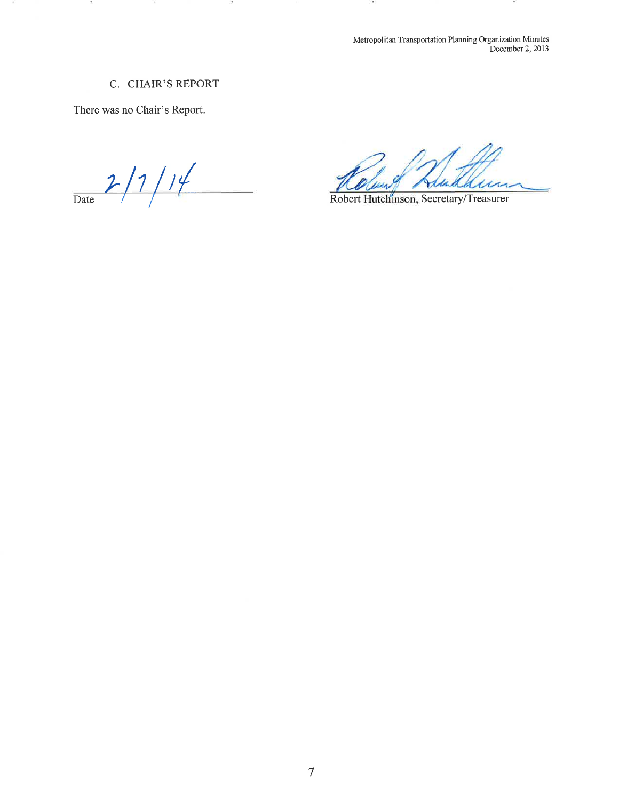Metropolitan Transportation Planning Organization Minutes<br>December 2, 2013

# C. CHAIR'S REPORT

12

There was no Chair's Report.

 $\mathcal{L}$ 

 $2/7/1/4$ 

Madrin

Robert Hutchinson, Secretary/Treasurer

 $\sim$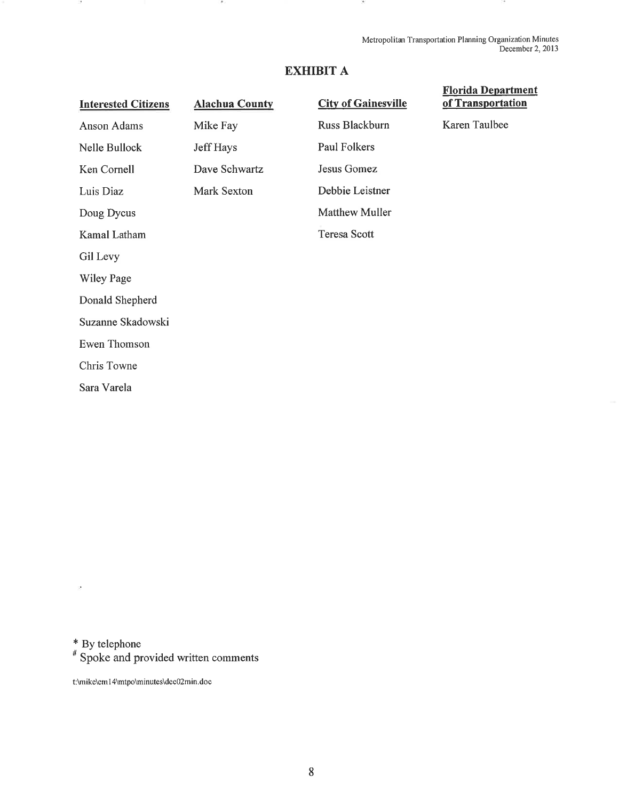Metropolitan Transportation Planning Organization Minutes December 2, 2013

# **EXHIBIT A**

**Alachua County** 

# **Interested Citizens**

Anson Adams Mike Fay Jeff Hays Nelle Bullock Ken Cornell Dave Schwartz Mark Sexton Luis Diaz Doug Dycus Kamal Latham Gil Levy **Wiley Page** Donald Shepherd Suzanne Skadowski Ewen Thomson Chris Towne

# **City of Gainesville** Russ Blackburn **Paul Folkers** Jesus Gomez Debbie Leistner **Matthew Muller Teresa Scott**

# **Florida Department** of Transportation

Karen Taulbee

\* By telephone

Sara Varela

<sup>#</sup> Spoke and provided written comments

t:\mike\em14\mtpo\minutes\dec02min.doc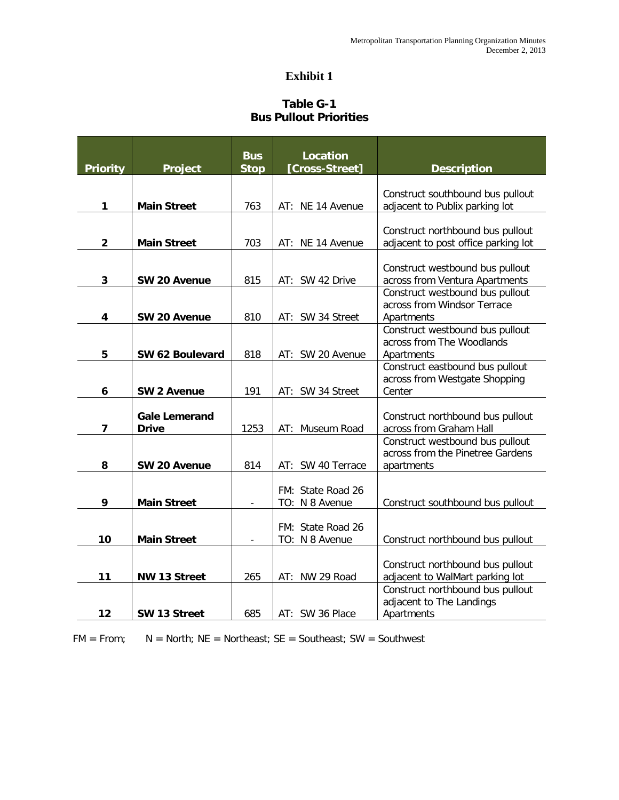# **Exhibit 1**

# **Table G-1 Bus Pullout Priorities**

|                         |                                      | <b>Bus</b>  | Location                            |                                                                                   |
|-------------------------|--------------------------------------|-------------|-------------------------------------|-----------------------------------------------------------------------------------|
| <b>Priority</b>         | <b>Project</b>                       | <b>Stop</b> | [Cross-Street]                      | <b>Description</b>                                                                |
| 1                       | <b>Main Street</b>                   | 763         | AT: NE 14 Avenue                    | Construct southbound bus pullout<br>adjacent to Publix parking lot                |
| $\overline{\mathbf{2}}$ | <b>Main Street</b>                   | 703         | AT: NE 14 Avenue                    | Construct northbound bus pullout<br>adjacent to post office parking lot           |
| 3                       | SW 20 Avenue                         | 815         | AT: SW 42 Drive                     | Construct westbound bus pullout<br>across from Ventura Apartments                 |
| 4                       | SW 20 Avenue                         | 810         | AT: SW 34 Street                    | Construct westbound bus pullout<br>across from Windsor Terrace<br>Apartments      |
| 5                       | SW 62 Boulevard                      | 818         | AT: SW 20 Avenue                    | Construct westbound bus pullout<br>across from The Woodlands<br>Apartments        |
| 6                       | <b>SW 2 Avenue</b>                   | 191         | AT: SW 34 Street                    | Construct eastbound bus pullout<br>across from Westgate Shopping<br>Center        |
| $\overline{\mathbf{z}}$ | <b>Gale Lemerand</b><br><b>Drive</b> | 1253        | AT: Museum Road                     | Construct northbound bus pullout<br>across from Graham Hall                       |
| 8                       | SW 20 Avenue                         | 814         | AT: SW 40 Terrace                   | Construct westbound bus pullout<br>across from the Pinetree Gardens<br>apartments |
| 9                       | <b>Main Street</b>                   |             | FM: State Road 26<br>TO: N 8 Avenue | Construct southbound bus pullout                                                  |
| 10                      | <b>Main Street</b>                   |             | FM: State Road 26<br>TO: N 8 Avenue | Construct northbound bus pullout                                                  |
| 11                      | <b>NW 13 Street</b>                  | 265         | AT: NW 29 Road                      | Construct northbound bus pullout<br>adjacent to WalMart parking lot               |
| 12                      | SW 13 Street                         | 685         | AT: SW 36 Place                     | Construct northbound bus pullout<br>adjacent to The Landings<br>Apartments        |

 $FM = From;$   $N = North; NE = Northleast; SE = Southeast; SW = Southwest$